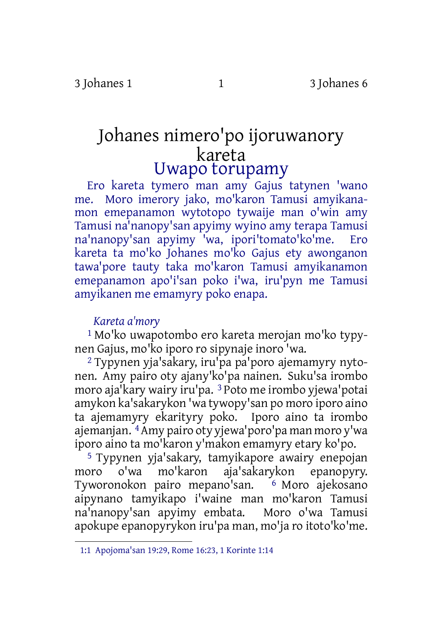# Johanes nimero'po ijoruwanory kareta Uwapo torupamy

Ero kareta tymero man amy Gajus tatynen 'wano me. Moro imerory jako, mo'karon Tamusi amyikanamon emepanamon wytotopo tywaije man o'win amy Tamusi na'nanopy'san apyimy wyino amy terapa Tamusi na'nanopy'san apyimy 'wa, ipori'tomato'ko'me. Ero kareta ta mo'ko Johanes mo'ko Gajus ety awonganon tawa'pore tauty taka mo'karon Tamusi amyikanamon emepanamon apo'i'san poko i'wa, iru'pyn me Tamusi amyikanen me emamyry poko enapa.

# *Kareta a'mory*

1 Mo'ko uwapotombo ero kareta merojan mo'ko typynen Gajus, mo'ko iporo ro sipynaje inoro 'wa.

2 Typynen yja'sakary, iru'pa pa'poro ajemamyry nytonen. Amy pairo oty ajany'ko'pa nainen. Suku'sa irombo moro aja'kary wairy iru'pa. 3 Poto me irombo yjewa'potai amykon ka'sakarykon 'wa tywopy'san po moro iporo aino ta ajemamyry ekarityry poko. Iporo aino ta irombo ajemanjan. 4Amy pairo oty yjewa'poro'pa man moro y'wa iporo aino ta mo'karon y'makon emamyry etary ko'po.

5 Typynen yja'sakary, tamyikapore awairy enepojan moro o'wa mo'karon aja'sakarykon epanopyry. Tyworonokon pairo mepano'san. 6 Moro ajekosano aipynano tamyikapo i'waine man mo'karon Tamusi na'nanopy'san apyimy embata. Moro o'wa Tamusi apokupe epanopyrykon iru'pa man, mo'ja ro itoto'ko'me.

<sup>1:1</sup> Apojoma'san 19:29, Rome 16:23, 1 Korinte 1:14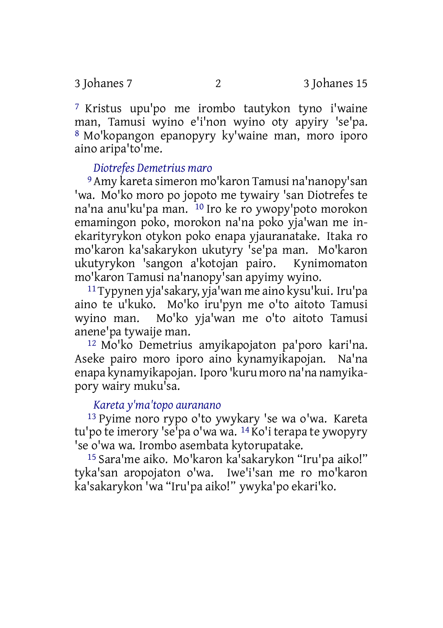7 Kristus upu'po me irombo tautykon tyno i'waine man, Tamusi wyino e'i'non wyino oty apyiry 'se'pa. 8 Mo'kopangon epanopyry ky'waine man, moro iporo aino aripa'to'me.

### *Diotrefes Demetrius maro*

9 Amy kareta simeron mo'karon Tamusi na'nanopy'san 'wa. Mo'ko moro po jopoto me tywairy 'san Diotrefes te na'na anu'ku'pa man. 10 Iro ke ro ywopy'poto morokon emamingon poko, morokon na'na poko yja'wan me inekarityrykon otykon poko enapa yjauranatake. Itaka ro mo'karon ka'sakarykon ukutyry 'se'pa man. Mo'karon ukutyrykon 'sangon a'kotojan pairo. mo'karon Tamusi na'nanopy'san apyimy wyino.

11Typynen yja'sakary, yja'wan me aino kysu'kui. Iru'pa aino te u'kuko. Mo'ko iru'pyn me o'to aitoto Tamusi wyino man. Mo'ko yja'wan me o'to aitoto Tamusi anene'pa tywaije man.

12 Mo'ko Demetrius amyikapojaton pa'poro kari'na. Aseke pairo moro iporo aino kynamyikapojan. Na'na enapa kynamyikapojan. Iporo 'kuru moro na'na namyikapory wairy muku'sa.

#### *Kareta y'ma'topo auranano*

13 Pyime noro rypo o'to ywykary 'se wa o'wa. Kareta tu'po te imerory 'se'pa o'wa wa. 14 Ko'i terapa te ywopyry 'se o'wa wa. Irombo asembata kytorupatake.

15 Sara'me aiko. Mo'karon ka'sakarykon "Iru'pa aiko!" tyka'san aropojaton o'wa. Iwe'i'san me ro mo'karon ka'sakarykon 'wa "Iru'pa aiko!" ywyka'po ekari'ko.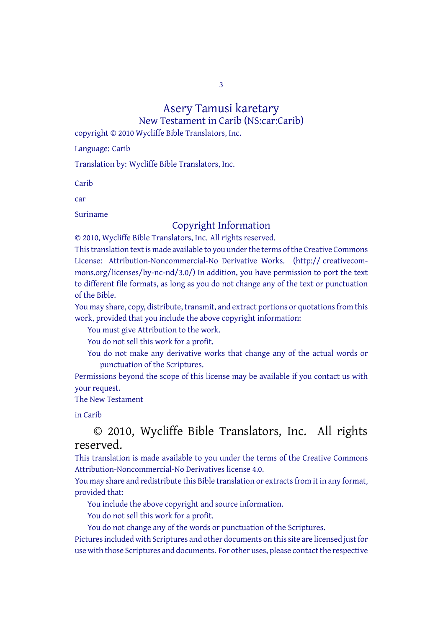3

# Asery Tamusi karetary

New Testament in Carib (NS:car:Carib)

copyright © 2010 Wycliffe Bible Translators, Inc.

Language: Carib

Translation by: Wycliffe Bible Translators, Inc.

Carib

car

Suriname

# Copyright Information

© 2010, Wycliffe Bible Translators, Inc. All rights reserved. This translation text is made available to you under the terms of the Creative [Commons](http://creativecommons.org/licenses/by-nc-nd/4.0/) License: [Attribution-Noncommercial-No](http://creativecommons.org/licenses/by-nc-nd/4.0/) Derivative Works. (http:// creativecommons.org/licenses/by-nc-nd/3.0/) In addition, you have permission to port the text to different file formats, as long as you do not change any of the text or punctuation of the Bible.

You may share, copy, distribute, transmit, and extract portions or quotations from this work, provided that you include the above copyright information:

You must give Attribution to the work.

You do not sell this work for a profit.

You do not make any derivative works that change any of the actual words or punctuation of the Scriptures.

Permissions beyond the scope of this license may be available if you contact us with your request.

The New Testament

in Carib

# © 2010, Wycliffe Bible Translators, Inc. All rights reserved.

This translation is made available to you under the terms of the Creative Commons Attribution-Noncommercial-No Derivatives license 4.0.

You may share and redistribute this Bible translation or extracts from it in any format, provided that:

You include the above copyright and source information.

You do not sell this work for a profit.

You do not change any of the words or punctuation of the Scriptures.

Pictures included with Scriptures and other documents on this site are licensed just for use with those Scriptures and documents. For other uses, please contact the respective